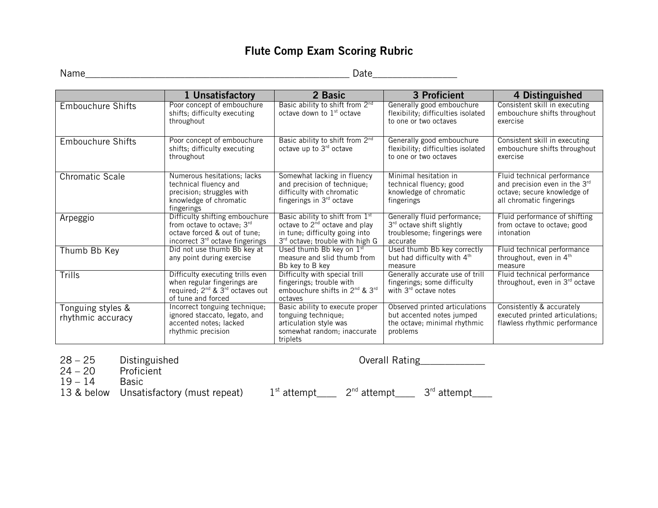### **Flute Comp Exam Scoring Rubric**

Name\_\_\_\_\_\_\_\_\_\_\_\_\_\_\_\_\_\_\_\_\_\_\_\_\_\_\_\_\_\_\_\_\_\_\_\_\_\_\_\_\_\_\_\_\_\_\_\_\_\_\_\_\_ Date\_\_\_\_\_\_\_\_\_\_\_\_\_\_\_\_\_

|                                        | 1 Unsatisfactory                                                                                                                                 | 2 Basic                                                                                                                                    | 3 Proficient                                                                                            | 4 Distinguished                                                                                                         |
|----------------------------------------|--------------------------------------------------------------------------------------------------------------------------------------------------|--------------------------------------------------------------------------------------------------------------------------------------------|---------------------------------------------------------------------------------------------------------|-------------------------------------------------------------------------------------------------------------------------|
| <b>Embouchure Shifts</b>               | Poor concept of embouchure<br>shifts; difficulty executing<br>throughout                                                                         | Basic ability to shift from 2nd<br>octave down to $1st$ octave                                                                             | Generally good embouchure<br>flexibility; difficulties isolated<br>to one or two octaves                | Consistent skill in executing<br>embouchure shifts throughout<br>exercise                                               |
| <b>Embouchure Shifts</b>               | Poor concept of embouchure<br>shifts; difficulty executing<br>throughout                                                                         | Basic ability to shift from 2 <sup>nd</sup><br>octave up to $3rd$ octave                                                                   | Generally good embouchure<br>flexibility; difficulties isolated<br>to one or two octaves                | Consistent skill in executing<br>embouchure shifts throughout<br>exercise                                               |
| <b>Chromatic Scale</b>                 | Numerous hesitations; lacks<br>technical fluency and<br>precision; struggles with<br>knowledge of chromatic<br>fingerings                        | Somewhat lacking in fluency<br>and precision of technique;<br>difficulty with chromatic<br>fingerings in $3rd$ octave                      | Minimal hesitation in<br>technical fluency; good<br>knowledge of chromatic<br>fingerings                | Fluid technical performance<br>and precision even in the 3rd<br>octave; secure knowledge of<br>all chromatic fingerings |
| Arpeggio                               | Difficulty shifting embouchure<br>from octave to octave; 3rd<br>octave forced & out of tune:<br>incorrect 3 <sup>rd</sup> octave fingerings      | Basic ability to shift from 1st<br>octave to $2^{nd}$ octave and play<br>in tune; difficulty going into<br>3rd octave; trouble with high G | Generally fluid performance;<br>3rd octave shift slightly<br>troublesome; fingerings were<br>accurate   | Fluid performance of shifting<br>from octave to octave; good<br>intonation                                              |
| Thumb Bb Key                           | Did not use thumb Bb key at<br>any point during exercise                                                                                         | Used thumb Bb key on $1st$<br>measure and slid thumb from<br>Bb key to B key                                                               | Used thumb Bb key correctly<br>but had difficulty with 4th<br>measure                                   | Fluid technical performance<br>throughout, even in 4 <sup>th</sup><br>measure                                           |
| Trills                                 | Difficulty executing trills even<br>when regular fingerings are<br>required; 2 <sup>nd</sup> & 3 <sup>rd</sup> octaves out<br>of tune and forced | Difficulty with special trill<br>fingerings; trouble with<br>embouchure shifts in 2 <sup>nd</sup> & 3 <sup>rd</sup><br>octaves             | Generally accurate use of trill<br>fingerings; some difficulty<br>with 3 <sup>rd</sup> octave notes     | Fluid technical performance<br>throughout, even in 3rd octave                                                           |
| Tonguing styles &<br>rhythmic accuracy | Incorrect tonguing technique;<br>ignored staccato, legato, and<br>accented notes; lacked<br>rhythmic precision                                   | Basic ability to execute proper<br>tonguing technique;<br>articulation style was<br>somewhat random; inaccurate<br>triplets                | Observed printed articulations<br>but accented notes jumped<br>the octave; minimal rhythmic<br>problems | Consistently & accurately<br>executed printed articulations;<br>flawless rhythmic performance                           |

- 28 25 Disting<br>24 20 Profic<br>19 14 Basic
- 

 $19 - 14$ 

Distinguished Distinguished Overall Rating<br>Proficient

13 & below Unsatisfactory (must repeat)  $1^{st}$  attempt\_\_\_  $2^{nd}$  attempt\_\_\_  $3^{rd}$  attempt\_\_\_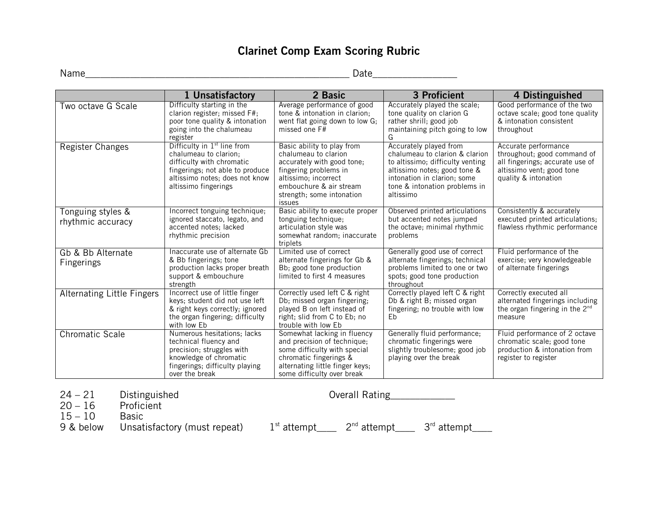### **Clarinet Comp Exam Scoring Rubric**

Name\_\_\_\_\_\_\_\_\_\_\_\_\_\_\_\_\_\_\_\_\_\_\_\_\_\_\_\_\_\_\_\_\_\_\_\_\_\_\_\_\_\_\_\_\_\_\_\_\_\_\_\_\_ Date\_\_\_\_\_\_\_\_\_\_\_\_\_\_\_\_\_

|                                        | 1 Unsatisfactory                                                                                                                                                                           | 2 Basic                                                                                                                                                                                             | 3 Proficient                                                                                                                                                                                              | 4 Distinguished                                                                                                                             |
|----------------------------------------|--------------------------------------------------------------------------------------------------------------------------------------------------------------------------------------------|-----------------------------------------------------------------------------------------------------------------------------------------------------------------------------------------------------|-----------------------------------------------------------------------------------------------------------------------------------------------------------------------------------------------------------|---------------------------------------------------------------------------------------------------------------------------------------------|
| Two octave G Scale                     | Difficulty starting in the<br>clarion register; missed F#;<br>poor tone quality & intonation<br>going into the chalumeau<br>register                                                       | Average performance of good<br>tone & intonation in clarion;<br>went flat going down to low G;<br>missed one F#                                                                                     | Accurately played the scale;<br>tone quality on clarion G<br>rather shrill; good job<br>maintaining pitch going to low<br>G                                                                               | Good performance of the two<br>octave scale; good tone quality<br>& intonation consistent<br>throughout                                     |
| Register Changes                       | Difficulty in 1 <sup>st</sup> line from<br>chalumeau to clarion;<br>difficulty with chromatic<br>fingerings; not able to produce<br>altissimo notes; does not know<br>altissimo fingerings | Basic ability to play from<br>chalumeau to clarion<br>accurately with good tone;<br>fingering problems in<br>altissimo; incorrect<br>embouchure & air stream<br>strength; some intonation<br>issues | Accurately played from<br>chalumeau to clarion & clarion<br>to altissimo; difficulty venting<br>altissimo notes; good tone &<br>intonation in clarion; some<br>tone & intonation problems in<br>altissimo | Accurate performance<br>throughout; good command of<br>all fingerings; accurate use of<br>altissimo vent; good tone<br>quality & intonation |
| Tonguing styles &<br>rhythmic accuracy | Incorrect tonguing technique;<br>ignored staccato, legato, and<br>accented notes; lacked<br>rhythmic precision                                                                             | Basic ability to execute proper<br>tonguing technique;<br>articulation style was<br>somewhat random; inaccurate<br>triplets                                                                         | Observed printed articulations<br>but accented notes jumped<br>the octave; minimal rhythmic<br>problems                                                                                                   | Consistently & accurately<br>executed printed articulations;<br>flawless rhythmic performance                                               |
| Gb & Bb Alternate<br><b>Fingerings</b> | Inaccurate use of alternate Gb<br>& Bb fingerings; tone<br>production lacks proper breath<br>support & embouchure<br>strength                                                              | Limited use of correct<br>alternate fingerings for Gb &<br>Bb; good tone production<br>limited to first 4 measures                                                                                  | Generally good use of correct<br>alternate fingerings; technical<br>problems limited to one or two<br>spots; good tone production<br>throughout                                                           | Fluid performance of the<br>exercise; very knowledgeable<br>of alternate fingerings                                                         |
| <b>Alternating Little Fingers</b>      | Incorrect use of little finger<br>keys; student did not use left<br>& right keys correctly; ignored<br>the organ fingering; difficulty<br>with low Eb                                      | Correctly used left C & right<br>Db; missed organ fingering;<br>played B on left instead of<br>right; slid from C to Eb; no<br>trouble with low Eb                                                  | Correctly played left C & right<br>Db & right B; missed organ<br>fingering; no trouble with low<br>Eb                                                                                                     | Correctly executed all<br>alternated fingerings including<br>the organ fingering in the 2 <sup>nd</sup><br>measure                          |
| <b>Chromatic Scale</b>                 | Numerous hesitations; lacks<br>technical fluency and<br>precision; struggles with<br>knowledge of chromatic<br>fingerings; difficulty playing<br>over the break                            | Somewhat lacking in fluency<br>and precision of technique;<br>some difficulty with special<br>chromatic fingerings &<br>alternating little finger keys;<br>some difficulty over break               | Generally fluid performance;<br>chromatic fingerings were<br>slightly troublesome; good job<br>playing over the break                                                                                     | Fluid performance of 2 octave<br>chromatic scale; good tone<br>production & intonation from<br>register to register                         |

24 – 21 Distinguished Overall Rating<br>20 – 16 Proficient

 $20 - 16$  Profic<br> $15 - 10$  Basic

 $15 - 10$ 

9 & below Unsatisfactory (must repeat)  $1<sup>st</sup>$  attempt\_\_\_  $2<sup>nd</sup>$  attempt\_\_\_  $3<sup>rd</sup>$  attempt\_\_\_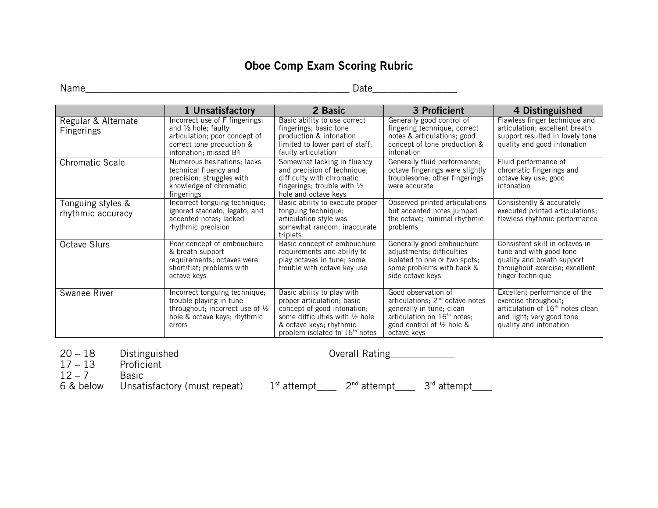# **Oboe Comp Exam Scoring Rubric**

Name\_\_\_\_\_\_\_\_\_\_\_\_\_\_\_\_\_\_\_\_\_\_\_\_\_\_\_\_\_\_\_\_\_\_\_\_\_\_\_\_\_\_\_\_\_\_\_\_\_\_\_\_\_ Date\_\_\_\_\_\_\_\_\_\_\_\_\_\_\_\_\_

|                                        | 1 Unsatisfactory                                                                                                                                        | 2 Basic                                                                                                                                                                                   | 3 Proficient                                                                                                                                                                           | 4 Distinguished                                                                                                                                             |
|----------------------------------------|---------------------------------------------------------------------------------------------------------------------------------------------------------|-------------------------------------------------------------------------------------------------------------------------------------------------------------------------------------------|----------------------------------------------------------------------------------------------------------------------------------------------------------------------------------------|-------------------------------------------------------------------------------------------------------------------------------------------------------------|
| Regular & Alternate<br>Fingerings      | Incorrect use of F fingerings;<br>and $\frac{1}{2}$ hole; faulty<br>articulation; poor concept of<br>correct tone production &<br>intonation; missed B4 | Basic ability to use correct<br>fingerings; basic tone<br>production & intonation<br>limited to lower part of staff;<br>faulty articulation                                               | Generally good control of<br>fingering technique, correct<br>notes & articulations; good<br>concept of tone production &<br>intonation                                                 | Flawless finger technique and<br>articulation; excellent breath<br>support resulted in lovely tone<br>quality and good intonation                           |
| <b>Chromatic Scale</b>                 | Numerous hesitations; lacks<br>technical fluency and<br>precision; struggles with<br>knowledge of chromatic<br>fingerings                               | Somewhat lacking in fluency<br>and precision of technique;<br>difficulty with chromatic<br>fingerings; trouble with $\frac{1}{2}$<br>hole and octave keys                                 | Generally fluid performance;<br>octave fingerings were slightly<br>troublesome; other fingerings<br>were accurate                                                                      | Fluid performance of<br>chromatic fingerings and<br>octave key use; good<br>intonation                                                                      |
| Tonguing styles &<br>rhythmic accuracy | Incorrect tonguing technique;<br>ignored staccato, legato, and<br>accented notes; lacked<br>rhythmic precision                                          | Basic ability to execute proper<br>tonguing technique;<br>articulation style was<br>somewhat random; inaccurate<br>triplets                                                               | Observed printed articulations<br>but accented notes jumped<br>the octave; minimal rhythmic<br>problems                                                                                | Consistently & accurately<br>executed printed articulations;<br>flawless rhythmic performance                                                               |
| <b>Octave Slurs</b>                    | Poor concept of embouchure<br>& breath support<br>requirements; octaves were<br>short/flat; problems with<br>octave keys                                | Basic concept of embouchure<br>requirements and ability to<br>play octaves in tune; some<br>trouble with octave key use                                                                   | Generally good embouchure<br>adjustments; difficulties<br>isolated to one or two spots;<br>some problems with back &<br>side octave keys                                               | Consistent skill in octaves in<br>tune and with good tone<br>quality and breath support<br>throughout exercise; excellent<br>finger technique               |
| Swanee River                           | Incorrect tonguing technique;<br>trouble playing in tune<br>throughout; incorrect use of $\frac{1}{2}$<br>hole & octave keys; rhythmic<br>errors        | Basic ability to play with<br>proper articulation; basic<br>concept of good intonation;<br>some difficulties with 1/2 hole<br>& octave keys; rhythmic<br>problem isolated to $16th$ notes | Good observation of<br>articulations; $2nd$ octave notes<br>generally in tune; clean<br>articulation on 16 <sup>th</sup> notes;<br>good control of $\frac{1}{2}$ hole &<br>octave keys | Excellent performance of the<br>exercise throughout;<br>articulation of 16 <sup>th</sup> notes clean<br>and light; very good tone<br>quality and intonation |

20 – 18 Disting<br>17 – 13 Profic<br>12 – 7 Basic

 $12 - 7$ 

Distinguished **Distinguished** Overall Rating **2006** 

6 & below Unsatisfactory (must repeat)  $1^{st}$  attempt\_\_\_  $2^{nd}$  attempt\_\_\_  $3^{rd}$  attempt\_\_\_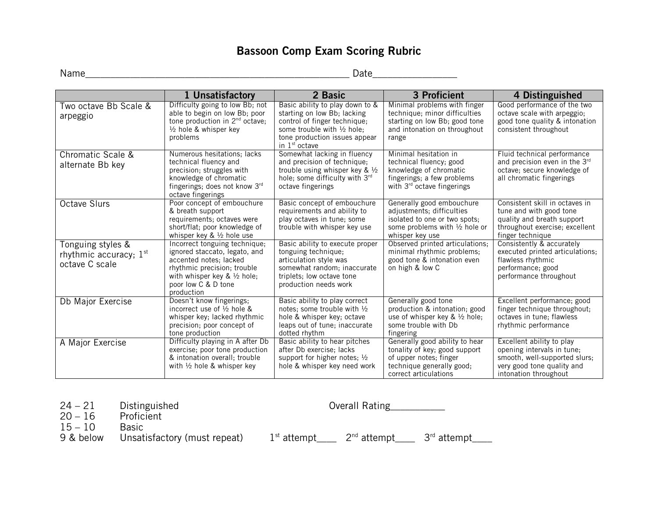# **Bassoon Comp Exam Scoring Rubric**

Name\_\_\_\_\_\_\_\_\_\_\_\_\_\_\_\_\_\_\_\_\_\_\_\_\_\_\_\_\_\_\_\_\_\_\_\_\_\_\_\_\_\_\_\_\_\_\_\_\_\_\_\_\_ Date\_\_\_\_\_\_\_\_\_\_\_\_\_\_\_\_\_

|                                                                 | 1 Unsatisfactory                                                                                                                                                                                       | 2 Basic                                                                                                                                                                                               | 3 Proficient                                                                                                                                       | 4 Distinguished                                                                                                                                 |
|-----------------------------------------------------------------|--------------------------------------------------------------------------------------------------------------------------------------------------------------------------------------------------------|-------------------------------------------------------------------------------------------------------------------------------------------------------------------------------------------------------|----------------------------------------------------------------------------------------------------------------------------------------------------|-------------------------------------------------------------------------------------------------------------------------------------------------|
| Two octave Bb Scale &<br>arpeggio                               | Difficulty going to low Bb; not<br>able to begin on low Bb; poor<br>tone production in 2 <sup>nd</sup> octave;<br>$\frac{1}{2}$ hole & whisper key<br>problems                                         | Basic ability to play down to &<br>starting on low Bb; lacking<br>control of finger technique;<br>some trouble with $\frac{1}{2}$ hole;<br>tone production issues appear<br>in 1 <sup>st</sup> octave | Minimal problems with finger<br>technique; minor difficulties<br>starting on low Bb; good tone<br>and intonation on throughout<br>range            | Good performance of the two<br>octave scale with arpeggio;<br>good tone quality & intonation<br>consistent throughout                           |
| Chromatic Scale &<br>alternate Bb key                           | Numerous hesitations; lacks<br>technical fluency and<br>precision; struggles with<br>knowledge of chromatic<br>fingerings; does not know $3rd$<br>octave fingerings                                    | Somewhat lacking in fluency<br>and precision of technique;<br>trouble using whisper key & $\frac{1}{2}$<br>hole; some difficulty with 3 <sup>rd</sup><br>octave fingerings                            | Minimal hesitation in<br>technical fluency; good<br>knowledge of chromatic<br>fingerings; a few problems<br>with 3 <sup>rd</sup> octave fingerings | Fluid technical performance<br>and precision even in the 3rd<br>octave; secure knowledge of<br>all chromatic fingerings                         |
| Octave Slurs                                                    | Poor concept of embouchure<br>& breath support<br>requirements; octaves were<br>short/flat; poor knowledge of<br>whisper key & $\frac{1}{2}$ hole use                                                  | Basic concept of embouchure<br>requirements and ability to<br>play octaves in tune; some<br>trouble with whisper key use                                                                              | Generally good embouchure<br>adjustments; difficulties<br>isolated to one or two spots;<br>some problems with 1/2 hole or<br>whisper key use       | Consistent skill in octaves in<br>tune and with good tone<br>quality and breath support<br>throughout exercise; excellent<br>finger technique   |
| Tonguing styles &<br>rhythmic accuracy; $1st$<br>octave C scale | Incorrect tonguing technique;<br>ignored staccato, legato, and<br>accented notes; lacked<br>rhythmic precision; trouble<br>with whisper key & $\frac{1}{2}$ hole;<br>poor low C & D tone<br>production | Basic ability to execute proper<br>tonguing technique;<br>articulation style was<br>somewhat random; inaccurate<br>triplets; low octave tone<br>production needs work                                 | Observed printed articulations;<br>minimal rhythmic problems;<br>good tone & intonation even<br>on high & low C                                    | Consistently & accurately<br>executed printed articulations;<br>flawless rhythmic<br>performance; good<br>performance throughout                |
| Db Major Exercise                                               | Doesn't know fingerings;<br>incorrect use of $\frac{1}{2}$ hole &<br>whisper key; lacked rhythmic<br>precision; poor concept of<br>tone production                                                     | Basic ability to play correct<br>notes; some trouble with 1/2<br>hole & whisper key; octave<br>leaps out of tune; inaccurate<br>dotted rhythm                                                         | Generally good tone<br>production & intonation; good<br>use of whisper key & $\frac{1}{2}$ hole;<br>some trouble with Db<br>fingering              | Excellent performance; good<br>finger technique throughout;<br>octaves in tune; flawless<br>rhythmic performance                                |
| A Major Exercise                                                | Difficulty playing in A after Db<br>exercise; poor tone production<br>& intonation overall; trouble<br>with $\frac{1}{2}$ hole & whisper key                                                           | Basic ability to hear pitches<br>after Db exercise: lacks<br>support for higher notes; 1/2<br>hole & whisper key need work                                                                            | Generally good ability to hear<br>tonality of key; good support<br>of upper notes; finger<br>technique generally good;<br>correct articulations    | Excellent ability to play<br>opening intervals in tune;<br>smooth, well-supported slurs;<br>very good tone quality and<br>intonation throughout |

24 – 21 Distinguished Overall Rating<br>20 – 16 Proficient

Proficient<br>Basic

 $15 - 10$ 

9 & below Unsatisfactory (must repeat)  $1<sup>st</sup>$  attempt\_\_\_  $2<sup>nd</sup>$  attempt\_\_\_  $3<sup>rd</sup>$  attempt\_\_\_